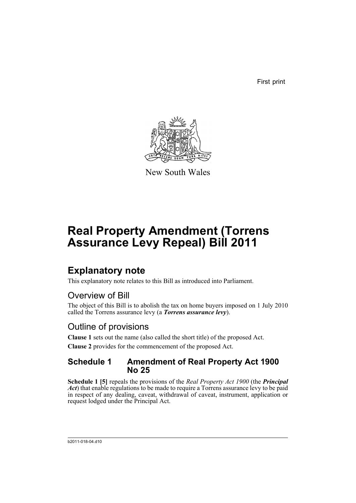First print



New South Wales

# **Real Property Amendment (Torrens Assurance Levy Repeal) Bill 2011**

### **Explanatory note**

This explanatory note relates to this Bill as introduced into Parliament.

### Overview of Bill

The object of this Bill is to abolish the tax on home buyers imposed on 1 July 2010 called the Torrens assurance levy (a *Torrens assurance levy*).

### Outline of provisions

**Clause 1** sets out the name (also called the short title) of the proposed Act. **Clause 2** provides for the commencement of the proposed Act.

#### **Schedule 1 Amendment of Real Property Act 1900 No 25**

**Schedule 1 [5]** repeals the provisions of the *Real Property Act 1900* (the *Principal Act*) that enable regulations to be made to require a Torrens assurance levy to be paid in respect of any dealing, caveat, withdrawal of caveat, instrument, application or request lodged under the Principal Act.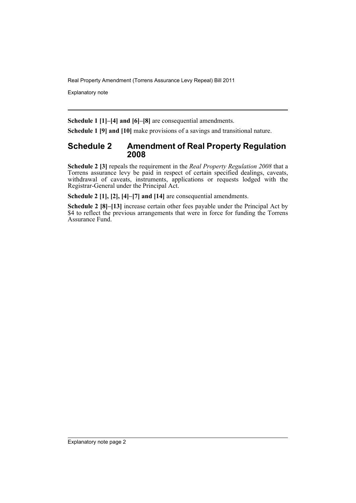Explanatory note

**Schedule 1 [1]–[4] and [6]–[8]** are consequential amendments.

**Schedule 1 [9] and [10]** make provisions of a savings and transitional nature.

#### **Schedule 2 Amendment of Real Property Regulation 2008**

**Schedule 2 [3]** repeals the requirement in the *Real Property Regulation 2008* that a Torrens assurance levy be paid in respect of certain specified dealings, caveats, withdrawal of caveats, instruments, applications or requests lodged with the Registrar-General under the Principal Act.

**Schedule 2 [1], [2], [4]–[7] and [14]** are consequential amendments.

**Schedule 2 [8]–[13]** increase certain other fees payable under the Principal Act by \$4 to reflect the previous arrangements that were in force for funding the Torrens Assurance Fund.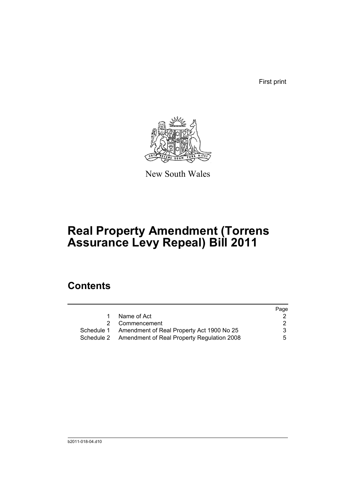First print



New South Wales

## **Real Property Amendment (Torrens Assurance Levy Repeal) Bill 2011**

### **Contents**

|                                                       | Page |
|-------------------------------------------------------|------|
| Name of Act                                           |      |
| 2 Commencement                                        | 2    |
| Schedule 1 Amendment of Real Property Act 1900 No 25  | 3    |
| Schedule 2 Amendment of Real Property Regulation 2008 | 5    |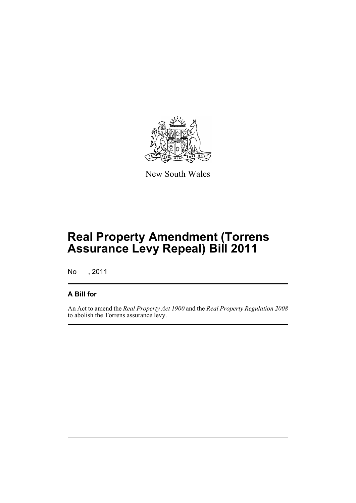

New South Wales

## **Real Property Amendment (Torrens Assurance Levy Repeal) Bill 2011**

No , 2011

#### **A Bill for**

An Act to amend the *Real Property Act 1900* and the *Real Property Regulation 2008* to abolish the Torrens assurance levy.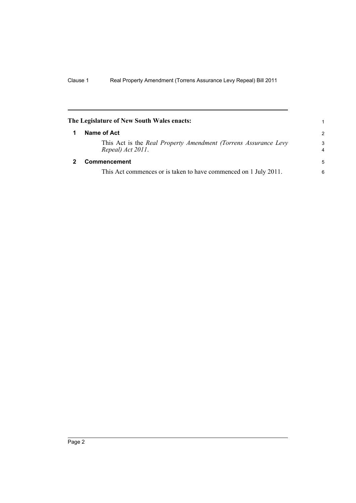<span id="page-5-1"></span><span id="page-5-0"></span>

| The Legislature of New South Wales enacts:                                           |                     |
|--------------------------------------------------------------------------------------|---------------------|
| Name of Act                                                                          | $\mathcal{P}$       |
| This Act is the Real Property Amendment (Torrens Assurance Levy<br>Repeal) Act 2011. | 3<br>$\overline{4}$ |
| <b>Commencement</b>                                                                  | 5                   |
| This Act commences or is taken to have commenced on 1 July 2011.                     | 6                   |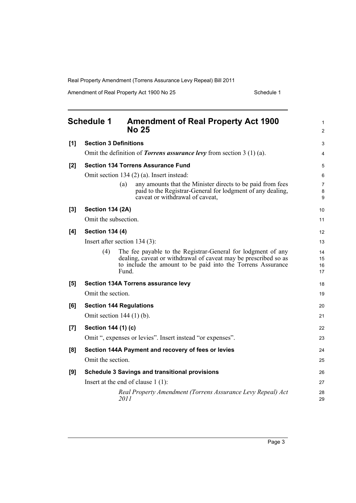Amendment of Real Property Act 1900 No 25 Schedule 1

<span id="page-6-0"></span>

|       | <b>Schedule 1</b><br><b>Amendment of Real Property Act 1900</b><br><b>No 25</b>                                                                                                                                | 1<br>$\overline{2}$  |
|-------|----------------------------------------------------------------------------------------------------------------------------------------------------------------------------------------------------------------|----------------------|
| [1]   | <b>Section 3 Definitions</b>                                                                                                                                                                                   | 3                    |
|       | Omit the definition of <i>Torrens assurance levy</i> from section $3(1)(a)$ .                                                                                                                                  | 4                    |
| [2]   | <b>Section 134 Torrens Assurance Fund</b>                                                                                                                                                                      | 5                    |
|       | Omit section 134 (2) (a). Insert instead:                                                                                                                                                                      | 6                    |
|       | any amounts that the Minister directs to be paid from fees<br>(a)<br>paid to the Registrar-General for lodgment of any dealing,<br>caveat or withdrawal of caveat,                                             | 7<br>8<br>9          |
| [3]   | <b>Section 134 (2A)</b>                                                                                                                                                                                        | 10                   |
|       | Omit the subsection.                                                                                                                                                                                           | 11                   |
| [4]   | <b>Section 134 (4)</b>                                                                                                                                                                                         | 12                   |
|       | Insert after section $134(3)$ :                                                                                                                                                                                | 13                   |
|       | The fee payable to the Registrar-General for lodgment of any<br>(4)<br>dealing, caveat or withdrawal of caveat may be prescribed so as<br>to include the amount to be paid into the Torrens Assurance<br>Fund. | 14<br>15<br>16<br>17 |
| [5]   | Section 134A Torrens assurance levy                                                                                                                                                                            | 18                   |
|       | Omit the section.                                                                                                                                                                                              | 19                   |
| [6]   | <b>Section 144 Regulations</b>                                                                                                                                                                                 | 20                   |
|       | Omit section $144(1)$ (b).                                                                                                                                                                                     | 21                   |
| $[7]$ | Section 144 (1) (c)                                                                                                                                                                                            | 22                   |
|       | Omit ", expenses or levies". Insert instead "or expenses".                                                                                                                                                     | 23                   |
| [8]   | Section 144A Payment and recovery of fees or levies                                                                                                                                                            | 24                   |
|       | Omit the section.                                                                                                                                                                                              | 25                   |
| [9]   | <b>Schedule 3 Savings and transitional provisions</b>                                                                                                                                                          | 26                   |
|       | Insert at the end of clause $1(1)$ :                                                                                                                                                                           | 27                   |
|       | Real Property Amendment (Torrens Assurance Levy Repeal) Act<br>2011                                                                                                                                            | 28<br>29             |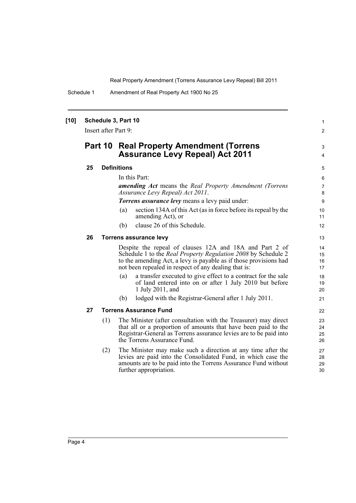Schedule 1 Amendment of Real Property Act 1900 No 25

| $[10]$ |         | Insert after Part 9: | Schedule 3, Part 10                                                                                                                                                                                                                                   | 1<br>$\overline{2}$   |
|--------|---------|----------------------|-------------------------------------------------------------------------------------------------------------------------------------------------------------------------------------------------------------------------------------------------------|-----------------------|
|        | Part 10 |                      | <b>Real Property Amendment (Torrens</b><br><b>Assurance Levy Repeal) Act 2011</b>                                                                                                                                                                     | 3<br>4                |
|        | 25      |                      | <b>Definitions</b>                                                                                                                                                                                                                                    | 5                     |
|        |         |                      | In this Part:                                                                                                                                                                                                                                         | 6                     |
|        |         |                      | <b>amending Act</b> means the Real Property Amendment (Torrens<br>Assurance Levy Repeal) Act 2011.                                                                                                                                                    | $\overline{7}$<br>8   |
|        |         |                      | <b>Torrens assurance levy</b> means a levy paid under:                                                                                                                                                                                                | 9                     |
|        |         |                      | section 134A of this Act (as in force before its repeal by the<br>(a)<br>amending Act), or                                                                                                                                                            | 10 <sup>°</sup><br>11 |
|        |         |                      | clause 26 of this Schedule.<br>(b)                                                                                                                                                                                                                    | 12                    |
|        | 26      |                      | <b>Torrens assurance levy</b>                                                                                                                                                                                                                         | 13                    |
|        |         |                      | Despite the repeal of clauses 12A and 18A and Part 2 of<br>Schedule 1 to the Real Property Regulation 2008 by Schedule 2<br>to the amending Act, a levy is payable as if those provisions had<br>not been repealed in respect of any dealing that is: | 14<br>15<br>16<br>17  |
|        |         |                      | a transfer executed to give effect to a contract for the sale<br>(a)<br>of land entered into on or after 1 July 2010 but before<br>1 July 2011, and                                                                                                   | 18<br>19<br>20        |
|        |         |                      | lodged with the Registrar-General after 1 July 2011.<br>(b)                                                                                                                                                                                           | 21                    |
|        | 27      |                      | <b>Torrens Assurance Fund</b>                                                                                                                                                                                                                         | 22                    |
|        |         | (1)                  | The Minister (after consultation with the Treasurer) may direct<br>that all or a proportion of amounts that have been paid to the<br>Registrar-General as Torrens assurance levies are to be paid into<br>the Torrens Assurance Fund.                 | 23<br>24<br>25<br>26  |
|        |         | (2)                  | The Minister may make such a direction at any time after the<br>levies are paid into the Consolidated Fund, in which case the<br>amounts are to be paid into the Torrens Assurance Fund without<br>further appropriation.                             | 27<br>28<br>29<br>30  |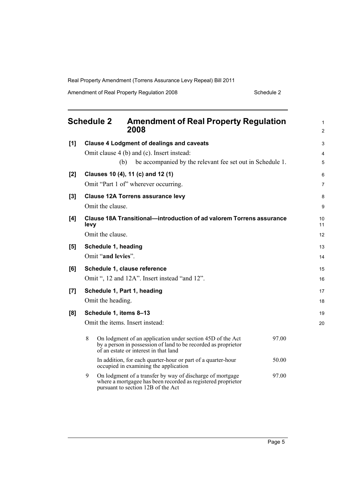Amendment of Real Property Regulation 2008 Schedule 2

<span id="page-8-0"></span>

|       | <b>Schedule 2</b><br><b>Amendment of Real Property Regulation</b><br>2008                                                                                                           | 1<br>2                   |
|-------|-------------------------------------------------------------------------------------------------------------------------------------------------------------------------------------|--------------------------|
| [1]   | <b>Clause 4 Lodgment of dealings and caveats</b><br>Omit clause 4 (b) and (c). Insert instead:<br>be accompanied by the relevant fee set out in Schedule 1.<br>(b)                  | 3<br>$\overline{4}$<br>5 |
| $[2]$ | Clauses 10 (4), 11 (c) and 12 (1)<br>Omit "Part 1 of" wherever occurring.                                                                                                           | 6<br>$\overline{7}$      |
| $[3]$ | <b>Clause 12A Torrens assurance levy</b><br>Omit the clause.                                                                                                                        | 8<br>9                   |
| [4]   | Clause 18A Transitional—introduction of ad valorem Torrens assurance<br>levy<br>Omit the clause.                                                                                    | 10<br>11<br>12           |
| [5]   | Schedule 1, heading<br>Omit "and levies".                                                                                                                                           | 13<br>14                 |
| [6]   | Schedule 1, clause reference<br>Omit ", 12 and 12A". Insert instead "and 12".                                                                                                       | 15<br>16                 |
| [7]   | Schedule 1, Part 1, heading<br>Omit the heading.                                                                                                                                    | 17<br>18                 |
| [8]   | Schedule 1, items 8-13<br>Omit the items. Insert instead:                                                                                                                           | 19<br>20                 |
|       | 8<br>On lodgment of an application under section 45D of the Act<br>97.00<br>by a person in possession of land to be recorded as proprietor<br>of an estate or interest in that land |                          |
|       | In addition, for each quarter-hour or part of a quarter-hour<br>50.00<br>occupied in examining the application                                                                      |                          |
|       | 9<br>On lodgment of a transfer by way of discharge of mortgage<br>97.00<br>where a mortgagee has been recorded as registered proprietor<br>pursuant to section 12B of the Act       |                          |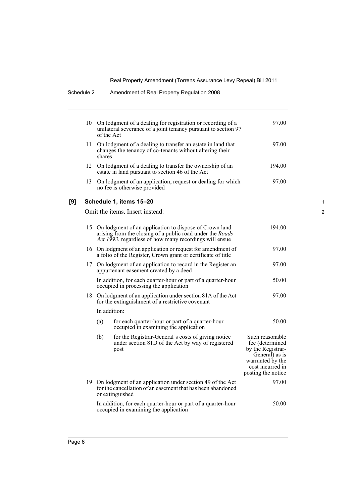|     | 10 | of the Act   | On lodgment of a dealing for registration or recording of a<br>unilateral severance of a joint tenancy pursuant to section 97                                                        | 97.00                                                                                                                                   |
|-----|----|--------------|--------------------------------------------------------------------------------------------------------------------------------------------------------------------------------------|-----------------------------------------------------------------------------------------------------------------------------------------|
|     | 11 | shares       | On lodgment of a dealing to transfer an estate in land that<br>changes the tenancy of co-tenants without altering their                                                              | 97.00                                                                                                                                   |
|     | 12 |              | On lodgment of a dealing to transfer the ownership of an<br>estate in land pursuant to section 46 of the Act                                                                         | 194.00                                                                                                                                  |
|     | 13 |              | On lodgment of an application, request or dealing for which<br>no fee is otherwise provided                                                                                          | 97.00                                                                                                                                   |
| [9] |    |              | Schedule 1, items 15-20                                                                                                                                                              |                                                                                                                                         |
|     |    |              | Omit the items. Insert instead:                                                                                                                                                      |                                                                                                                                         |
|     | 15 |              | On lodgment of an application to dispose of Crown land<br>arising from the closing of a public road under the <i>Roads</i><br>Act 1993, regardless of how many recordings will ensue | 194.00                                                                                                                                  |
|     |    |              | 16 On lodgment of an application or request for amendment of<br>a folio of the Register, Crown grant or certificate of title                                                         | 97.00                                                                                                                                   |
|     | 17 |              | On lodgment of an application to record in the Register an<br>appurtenant easement created by a deed                                                                                 | 97.00                                                                                                                                   |
|     |    |              | In addition, for each quarter-hour or part of a quarter-hour<br>occupied in processing the application                                                                               | 50.00                                                                                                                                   |
|     |    |              | 18 On lodgment of an application under section 81A of the Act<br>for the extinguishment of a restrictive covenant                                                                    | 97.00                                                                                                                                   |
|     |    | In addition: |                                                                                                                                                                                      |                                                                                                                                         |
|     |    | (a)          | for each quarter-hour or part of a quarter-hour<br>occupied in examining the application                                                                                             | 50.00                                                                                                                                   |
|     |    | (b)          | for the Registrar-General's costs of giving notice<br>under section 81D of the Act by way of registered<br>post                                                                      | Such reasonable<br>fee (determined<br>by the Registrar-<br>General) as is<br>warranted by the<br>cost incurred in<br>posting the notice |
|     |    |              | 19 On lodgment of an application under section 49 of the Act<br>for the cancellation of an easement that has been abandoned<br>or extinguished                                       | 97.00                                                                                                                                   |
|     |    |              | In addition, for each quarter-hour or part of a quarter-hour<br>occupied in examining the application                                                                                | 50.00                                                                                                                                   |

Schedule 2 Amendment of Real Property Regulation 2008

1

2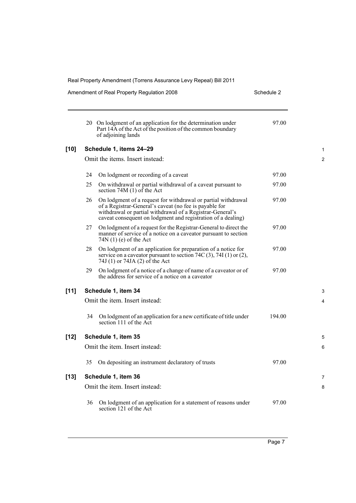|        |     | Real Property Amendment (Torrens Assurance Levy Repeal) Bill 2011                                                                                                                                                                                    |            |  |  |
|--------|-----|------------------------------------------------------------------------------------------------------------------------------------------------------------------------------------------------------------------------------------------------------|------------|--|--|
|        |     | Amendment of Real Property Regulation 2008                                                                                                                                                                                                           | Schedule 2 |  |  |
|        |     | 20 On lodgment of an application for the determination under<br>Part 14A of the Act of the position of the common boundary<br>of adjoining lands                                                                                                     | 97.00      |  |  |
| $[10]$ |     | Schedule 1, items 24-29                                                                                                                                                                                                                              |            |  |  |
|        |     | Omit the items. Insert instead:                                                                                                                                                                                                                      |            |  |  |
|        | 24  | On lodgment or recording of a caveat                                                                                                                                                                                                                 | 97.00      |  |  |
|        | 25  | On withdrawal or partial withdrawal of a caveat pursuant to<br>section 74M $(1)$ of the Act                                                                                                                                                          | 97.00      |  |  |
|        | 26  | On lodgment of a request for withdrawal or partial withdrawal<br>of a Registrar-General's caveat (no fee is payable for<br>withdrawal or partial withdrawal of a Registrar-General's<br>caveat consequent on lodgment and registration of a dealing) | 97.00      |  |  |
|        | 27  | On lodgment of a request for the Registrar-General to direct the<br>manner of service of a notice on a caveator pursuant to section<br>$74N(1)$ (e) of the Act                                                                                       | 97.00      |  |  |
|        | 28  | On lodgment of an application for preparation of a notice for<br>service on a caveator pursuant to section $74C(3)$ , $74I(1)$ or $(2)$ ,<br>74J (1) or 74JA (2) of the Act                                                                          | 97.00      |  |  |
|        | 29. | On lodgment of a notice of a change of name of a caveator or of<br>the address for service of a notice on a caveator                                                                                                                                 | 97.00      |  |  |
| $[11]$ |     | Schedule 1, item 34                                                                                                                                                                                                                                  |            |  |  |
|        |     | Omit the item. Insert instead:                                                                                                                                                                                                                       |            |  |  |
|        | 34  | On lodgment of an application for a new certificate of title under<br>section 111 of the Act                                                                                                                                                         | 194.00     |  |  |
| $[12]$ |     | Schedule 1, item 35                                                                                                                                                                                                                                  |            |  |  |
|        |     | Omit the item. Insert instead:                                                                                                                                                                                                                       |            |  |  |
|        | 35  | On depositing an instrument declaratory of trusts                                                                                                                                                                                                    | 97.00      |  |  |
| $[13]$ |     | Schedule 1, item 36                                                                                                                                                                                                                                  |            |  |  |
|        |     | Omit the item. Insert instead:                                                                                                                                                                                                                       |            |  |  |
|        | 36  | On lodgment of an application for a statement of reasons under<br>section 121 of the Act                                                                                                                                                             | 97.00      |  |  |

1 2

3 4

5 6

7 8